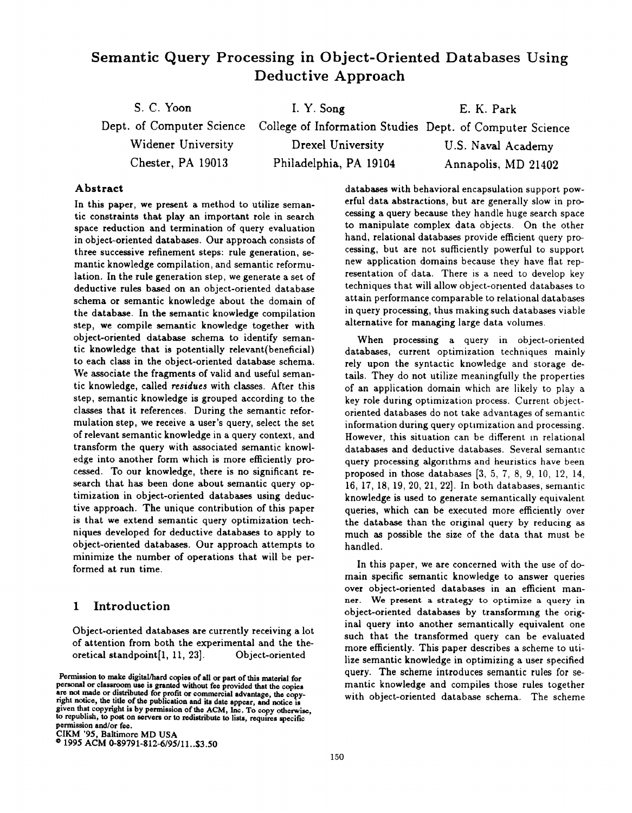# Semantic Query Processing in Object-Oriented Databases Using Deductive Approach

| S. C. Yoon         | I. Y. Song                                                                         | E. K. Park          |
|--------------------|------------------------------------------------------------------------------------|---------------------|
|                    | Dept. of Computer Science College of Information Studies Dept. of Computer Science |                     |
| Widener University | Drexel University                                                                  | U.S. Naval Academy  |
| Chester, PA 19013  | Philadelphia, PA 19104                                                             | Annapolis, MD 21402 |

#### Abstract

In this paper, we present a method to utilize semantic constraints that play an important role in search space reduction and termination of query evaluation in object-oriented databases. Our approach consists of three successive refinement steps: rule generation, semantic knowledge compilation, and semantic reformulation. In the rule generation step, we generate a set of deductive rules based on an object-oriented database schema or semantic knowledge about the domain of the database. In the semantic knowledge compilation step, we compile semantic knowledge together with object-oriented database schema to identify semantic knowledge that is potentially relevant(beneficial) to each class in the object-oriented database schema. We associate the fragments of valid and useful semantic knowledge, called residues with classes. After this step, semantic knowledge is grouped according to the classes that it references. During the semantic reformulation step, we receive a user's query, select the set of relevant semantic knowledge in a query context, and transform the query with associated semantic knowledge into another form which is more efficiently processed. To our knowledge, there is no significant research that has been done about semantic query optimization in object-oriented databases using deductive approach. The unique contribution of this paper is that we extend semantic query optimization techniques developed for deductive databases to apply to object-oriented databases. Our approach attempts to minimize the number of operations that will be performed at run time.

#### 1 Introduction

Object-oriented databases are currently receiving a lot of attention from both the experimental and the theoretical standpoint $[1, 11, 23]$ . Object-oriented

CIKM '95, Baltimore MD USA

@1995 ACM 0-89791-812-6/95/11. .\$3.50

databases with behavioral encapsulation support powerful data abstractions, but are generally slow in processing a query because they handle huge search space to manipulate complex data objects. On the other hand, relational databases provide efficient query processing, but are not sufficiently powerful to support new application domains because they have flat representation of data. There is a need to develop key techniques that will allow object-oriented databases to attain performance comparable to relational databases in query processing, thus making such databases viable alternative for managing large data volumes,

When processing a query in object-oriented databases, current optimization techniques mainly rely upon the syntactic knowledge and storage details. They do not utilize meaningfully the properties of an application domain which are likely to play a key role during optimization process. Current objectoriented databases do not take advantages of semantic information during query optimization and processing. However, this situation can be different in relational databases and deductive databases. Several semantic query processing algorithms and heuristics have been proposed in those databases [3, 5, 7, 8, 9, 10, 12, 14, 16, 17, 18, 19, 20, 21, 22]. In both databases, semantic knowledge is used to generate semantically equivalent queries, which can be executed more efficiently over the database than the original query by reducing as much as possible the size of the data that must be handled.

In this paper, we are concerned with the use of domain specific semantic knowledge to answer queries over object-oriented databases in an efficient manner. We present a strategy to optimize a query in object-oriented databases by transforming the original query into another semantically equivalent one such that the transformed query can be evaluated more efficiently. This paper describes a scheme to utilize semantic knowledge in optimizing a user specified query. The scheme introduces semantic rules for semantic knowledge and compiles those rules together with object-oriented database schema. The scheme

Permission to make digital/hard copies of all or part of this material for personal or classroom use is granted without fee provided that the copies are not made or distributed for profit or commercial advantage, the copy-right notice, the title of the publication and ita date appear, and notice is given that copyright is by permission of the ACM, Inc. To copy otherwise, to republish, to post on servers or to redistribute to lists, requires specific permission and/or fee.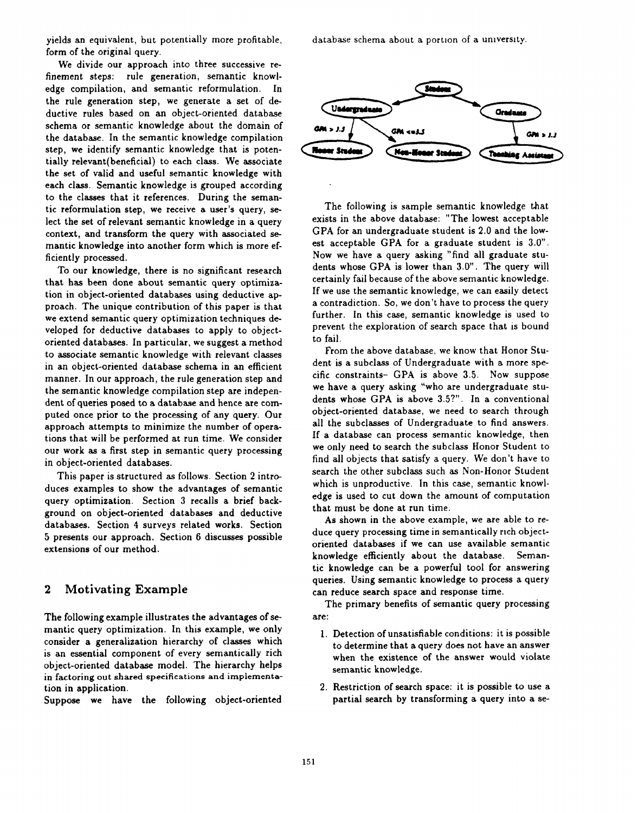yields an equivalent, but potentially more profitable, form of the original query.

We divide our approach into three successive refinement steps: rule generation, semantic knowledge compilation, and semantic reformulation. In the rule generation step, we generate a set of deductive rules based on an object-oriented database schema or semantic knowledge about the domain of the database. In the semantic knowledge compilation step, we identify semantic knowledge that is potentially relevant(beneficial) to each class. We associate the set of valid and useful semantic knowledge with each class. Semantic knowledge is grouped according to the classes that it references. During the semantic reformulation step, we receive a user's query, select the set of relevant semantic knowledge in a query context, and transform the query with associated semantic knowledge into another form which is more efficiently processed.

To our knowledge, there is no significant research that has been done about semantic query optimization in object-oriented databases using deductive approach. The unique contribution of this paper is that we extend semantic query optimization techniques developed for deductive databases to apply to objectoriented databases. In particular, we suggest a method to associate semantic knowledge with relevant classes in an object-oriented database schema in an efficient manner. In our approach, the rule generation step and the semantic knowledge compilation step are independent of queries posed to a database and hence are computed once prior to the processing of any query. Our approach attempts to minimize the number of operations that will be performed at run time. We consider our work as a first step in semantic query processing in object-oriented databases.

This paper is structured as follows. Section 2 introduces examples to show the advantages of semantic query optimization. Section 3 recalls a brief background on object-oriented databases and deductive databases. Section 4 surveys related works. Section 5 presents our approach. Section 6 discusses possible extensions of our method.

#### 2 Motivating Example

The following example illustrates the advantages of semantic query optimization. In this example, we only consider a generalization hierarchy of classes which is an essential component of every semantically rich object-oriented database model. The hierarchy helps in factoring out shared specifications and implementation in application.

Suppose we have the following object-oriented

database schema about a portion of a umverslty



The following is sample semantic knowledge that exists in the above database: "The lowest acceptable CPA for an undergraduate student is 2.0 and the lowest acceptable GPA for a graduate student is 3.0". Now we have a query asking "find all graduate students whose GPA is lower than 3.0". The query will certainly fail because of the above semantic knowledge. If we use the semantic knowledge, we can easily detect a contradiction. So, we don't have to process the query further. In this case, semantic knowledge is used to prevent the exploration of search space that is bound to fail.

From the above database, we know that Honor Student is a subclass of Undergraduate with a more specific constraints- GPA is above 3.5. Now suppose we have a query asking "who are undergraduate students whose GPA is above 3.5?". In a conventional object-oriented databaae, we need to search through all the subclasses of Undergraduate to find answers. If a database can process semantic knowledge, then we only need to search the subclass Honor Student to find all objects that satisfy a query. We don't have to search the other subclass such aa Non-Honor Student which is unproductive. In this case, semantic knowledge is used to cut down the amount of computation that must be done at run time.

As shown in the above example, we are able to reduce query processing time in semantically rich objectoriented databases if we can use available semantic knowledge efficiently about the database. Semantic knowledge can be a powerful tool for answering queries. Using semantic knowledge to process a query can reduce search space and response time.

The primary benefits of semantic query processing are:

- 1, Detection of unsatisfiable conditions: it is possible to determine that a query does not have an answer when the existence of the answer would violate semantic knowledge.
- 2. Restriction of search space: it is possible to use a partial search by transforming a query into a se-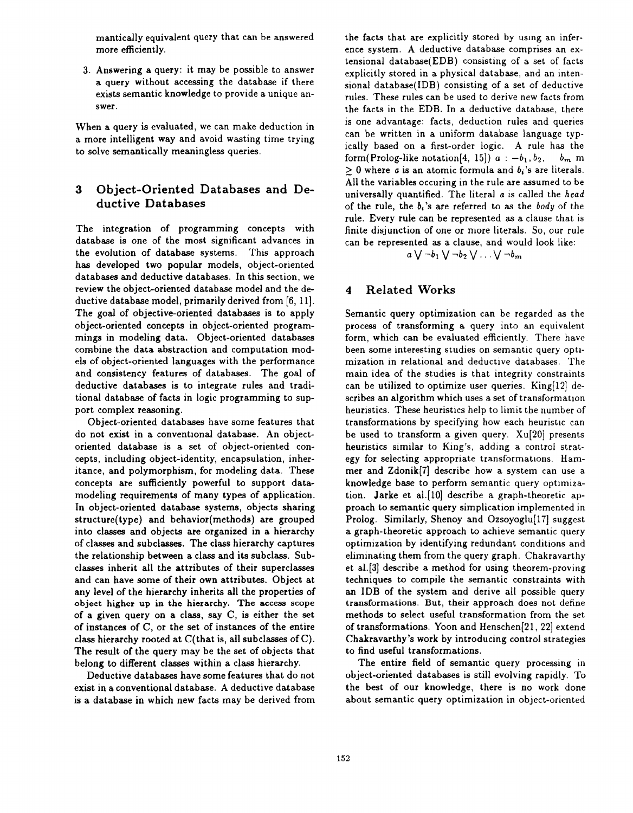mantically equivalent query that can be answered more efficiently.

3. Answering a query: it may be possible to answer a query without accessing the database if there exists semantic knowledge to provide a unique answer.

When a query is evaluated, we can make deduction in a more intelligent way and avoid wasting time trying to solve semantically meaningless queries.

### 3 Object-Oriented Databases and Deductive Databases

The integration of programming concepts with database is one of the most significant advances in the evolution of database systems. This approach has developed two popular models, object-oriented databases and deductive databases. In this section, we review the object-oriented database model and the deductive database model, primarily derived from [6, 11]. The goal of objective-oriented databases is to apply object-oriented concepts in object-oriented programmings in modeling data. Object-oriented databases combine the data abstraction and computation models of object-oriented languages with the performance and consistency features of databases. The goal of deductive databases is to integrate rules and traditional database of facts in logic programming to support complex reasoning.

Object-oriented databases have some features that do not exist in a conventional database. An objectoriented database is a set of object-oriented concepts, including object-identity, encapsulation, inheritance, and polymorphism, for modeling data. These concepts are sufficiently powerful to support datamodeling requirements of many types of application. In object-oriented database systems, objects sharing structure(type) and behavior(methods) are grouped into classes and objects are organized in a hierarchy of classes and subclasses. The class hierarchy captures the relationship between a class and its subclass. Subclasses inherit all the attributes of their superclasses and can have some of their own attributes. Object at any level of the hierarchy inherits all the properties of object higher up in the hierarchy. The access scope of a given query on a class, say C, is either the set of instances of C, or the set of instances of the entire class hierarchy rooted at C(that is, all subclasses of C). The result of the query may be the set of objects that belong to different classes within a class hierarchy.

Deductive databases have some features that do not exist in a conventional database, A deductive database is a database in which new facts may be derived from the facts that are explicitly stored by using an inference system. A deductive database comprises an extensional database(EDB) consisting of a set of facts explicitly stored in a physical database, and an intensional database(IDB) consisting of a set of deductive rules. These rules can be used to derive new facts from the facts in the EDB. In a deductive database, there is one advantage: facts, deduction rules and queries can be written in a uniform database language typically based on a first-order logic. A rule has the form(Prolog-like notation[4, 15])  $a : -b_1, b_2, \quad b_m$  m  $\geq 0$  where a is an atomic formula and  $b_i$ 's are literals. All the variables occuring in the rule are assumed to be universally quantified. The literal a is called the head of the rule, the  $b_i$ 's are referred to as the body of the rule. Every rule can be represented as a clause that is finite disjunction of one or more literals. So, our rule can be represented as a clause, and would look like:

 $a \vee \neg b_1 \vee \neg b_2 \vee \ldots \vee \neg b_m$ 

### 4 Related Works

Semantic query optimization can be regarded as the process of transforming a query into an equivalent form, which can be evaluated efficiently. There have been some interesting studies on semantic query optimization in relational and deductive databases. The main idea of the studies is that integrity constraints can be utilized to optimize user queries. King[12] describes an algorithm which uses a set of transformation heuristics. These heuristics help to limit the number of transformations by specifying how each heuristic can be used to transform a given query. XU[20] presents heuristics similar to King's, adding a control strategy for selecting appropriate transformations. Hammer and Zdonik[7] describe how a system can use a knowledge base to perform semantic query optimization. Jarke et al. [10] describe a graph-theoretic approach to semantic query simplication implemented in Prolog. Similarly, Shenoy and Ozsoyoglu<sup>[17]</sup> suggest a graph-theoretic approach to achieve semantic query optimization by identifying redundant conditions and eliminating them from the query graph. Chakravarthy et al. [3] describe a method for using theorem-proving techniques to compile the semantic constraints with an IDB of the system and derive all possible query transformations. But, their approach does not define methods to select useful transformation from the set of transformations. Yoon and Henschen[21, 22] extend Chakravarthy 's work by introducing control strategies to find useful transformations.

The entire field of semantic query processing in object-oriented databases is still evolving rapidly. To the best of our knowledge, there is no work done about semantic query optimization in object-oriented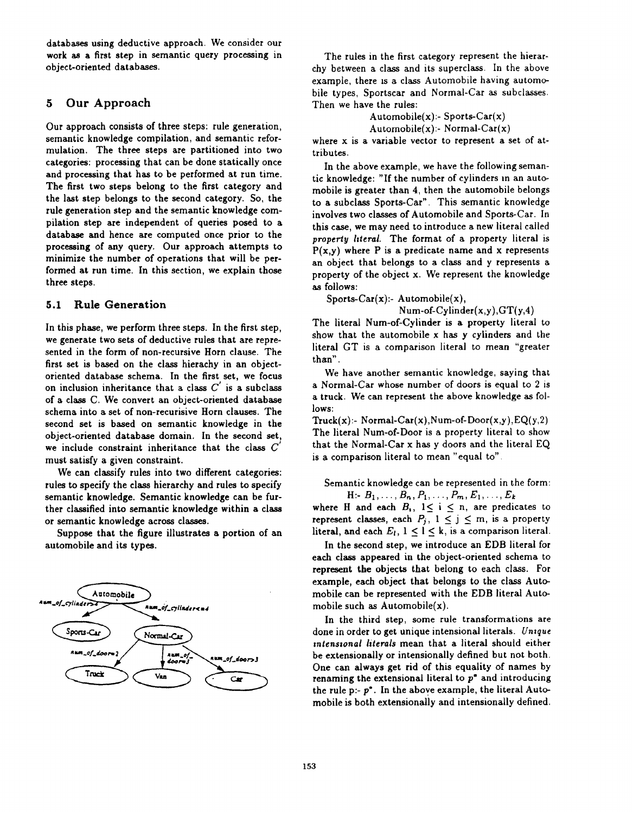databases using deductive approach. We consider our work as a first step in semantic query processing in object-oriented databases.

### 5 Our Approach

Our approach consists of three steps: rule generation, semantic knowledge compilation, and semantic reformulation. The three steps are partitioned into two categories: processing that can be done statically once and processing that has to be performed at run time. The first two steps belong to the first category and the last step belongs to the second category. So, the rule generation step and the semantic knowledge compilation step are independent of queries posed to a database and hence are computed once prior to the processing of any query. Our approach attempts to minimize the number of operations that will be performed at run time. In this section, we explain those three steps.

#### 5.1 Rule Generation

In this phase, we perform three steps. In the first step, we generate two sets of deductive rules that are represented in the form of non-recursive Horn clause. The first set is based on the class hierachy in an objectoriented database schema. In the first set, we focus on inclusion inheritance that a class  $C'$  is a subclass of a class C. We convert an object-oriented database schema into a set of non-recurisive Horn clauses. The second set is based on semantic knowledge in the object-oriented database domain. In the second set, we include constraint inheritance that the class  $C$ must satisfy a given constraint.

We can classify rules into two different categories: rules to specify the class hierarchy and rules to specify semantic knowledge. Semantic knowledge can be further classified into semantic knowledge within a class or semantic knowledge across classes.

Suppose that the figure illustrates a portion of an automobile and its types.



The rules in the first category represent the hierarchy between a class and its superclass. In the above example, there 1s a class Automobile having automobile types, Sportscar and Normal-Car as subclasses. Then we have the rules:

> Automobile $(x)$ :- Sports-Car $(x)$  $Authormobile(x): Normal-Car(x)$

where x is a variable vector to represent a set of attributes.

In the above example, we have the following semantic knowledge: "If the number of cylinders In an automobile is greater than 4, then the automobile belongs to a subclass Sports-Car". This semantic knowledge involves two classes of Automobile and Sports-Car. In this case, we may need to introduce a new literal called property hteral. The format of a property literal is  $P(x,y)$  where P is a predicate name and x represents an object that belongs to a class and y represents a property of the object x. We represent the knowledge as follows:

Sports-Car $(x)$ :- Automobile $(x)$ ,

Num-of-Cylinder $(x,y), GT(y,4)$ 

The literal Num-of-Cylinder is a property literal to show that the automobile x has y cylinders and the literal GT is a comparison literal to mean "greater than".

We have another semantic knowledge, saying that a Normal-Car whose number of doors is equal to 2 is a truck. We can represent the above knowledge as follows:

Truck $(x)$ :- Normal-Car $(x)$ , Num-of-Door $(x,y)$ , EQ $(y,2)$ The literal Num-of-Door is a property literal to show that the Normal-Car x has y doors and the literal EQ is a comparison literal to mean "equal to".

Semantic knowledge can be represented in the form:  $H: B_1, \ldots, B_n, P_1, \ldots, P_m, E_1, \ldots, E_k$ 

where H and each  $B_i$ ,  $1 \le i \le n$ , are predicates to represent classes, each  $P_j$ ,  $1 \le j \le m$ , is a property literal, and each  $E_l$ ,  $1 \leq l \leq k$ , is a comparison literal.

In the second step, we introduce an EDB literal for each class appeared in the object-oriented schema to represent the objects that belong to each class. For example, each object that belongs to the class Automobile can be represented with the EDB literal Automobile such as  $\text{Automobile}(x)$ .

In the third step, some rule transformations are done in order to get unique intensional literals. Unique intensional literals mean that a literal should either be extensionally or intensionally defined but not both. One can always get rid of this equality of names by renaming the extensional literal to  $p^*$  and introducing the rule  $p - p^*$ . In the above example, the literal Automobile is both extensionally and intensionally defined.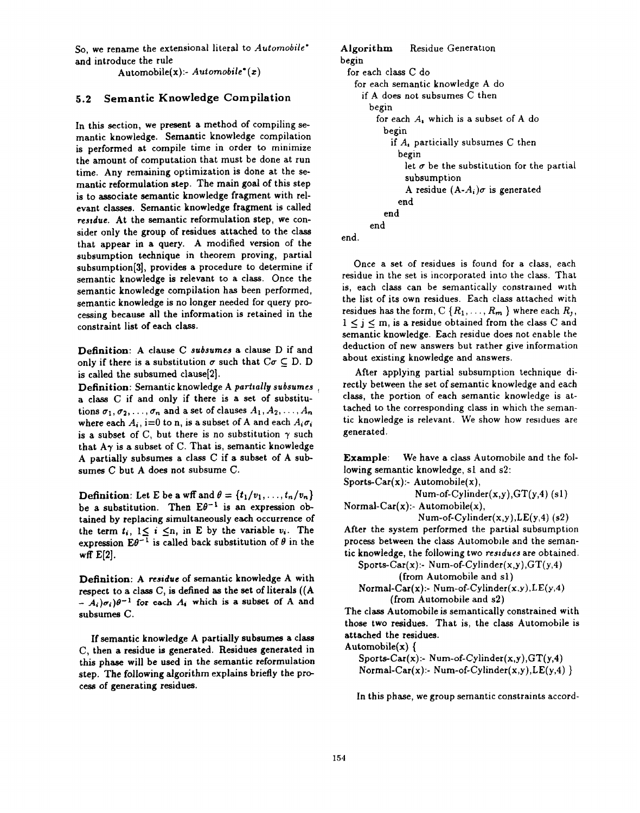So, we rename the extensional literal to Automobile\* and introduce the rule

Automobile $(x)$ :- Automobile\* $(x)$ 

#### 5.2 Semantic Knowledge Compilation

In this section, we present a method of compiling semantic knowledge. Semantic knowledge compilation is performed at compile time in order to minimize the amount of computation that must be done at run time. Any remaining optimization is done at the semantic reformulation step. The main goal of this step is to associate semantic knowledge fragment with relevant classes. Semantic knowledge fragment is called residue. At the semantic reformulation step, we consider only the group of residues attached to the class that appear in a query. A modified version of the subsumption technique in theorem proving, partial subsumption[3], provides a procedure to determine if semantic knowledge is relevant to a class. Once the semantic knowledge compilation has been performed, semantic knowledge is no longer needed for query processing because all the information is retained in the constraint list of each class.

Definition: A clause C subsumes a clause D if and only if there is a substitution  $\sigma$  such that  $C\sigma \subseteq D$ . D is called the subsumed clause[2].

Definition: Semantic knowledge A partially subsumes a class C if and only if there is a set of substitutions  $\sigma_1, \sigma_2, \ldots, \sigma_n$  and a set of clauses  $A_1, A_2, \ldots, A_n$ where each  $A_i$ , i=0 to n, is a subset of A and each  $A_i \sigma_i$ is a subset of C, but there is no substitution  $\gamma$  such that  $A\gamma$  is a subset of C. That is, semantic knowledge A partially subsumes a class  $C$  if a subset of A subsumes C but A does not subsume C.

**Definition:** Let E be a wff and  $\theta = \{t_1/v_1, \ldots, t_n/v_n\}$ be a substitution. Then  $E\theta^{-1}$  is an expression obtained by replacing simultaneously each occurrence of the term  $t_i$ ,  $1 \leq i \leq n$ , in E by the variable  $v_i$ . The expression  $E\theta^{-1}$  is called back substitution of  $\theta$  in the wff  $E[2]$ .

Definition: A residue of semantic knowledge A with respect to a class C, is defined as the set of literals ((A  $(A_i)\sigma_i \partial^{-1}$  for each  $A_i$  which is a subset of A and subsumes C.

If semantic knowledge A partially subsumes a class C, then a residue is generated. Residues generated in this phase will be used in the semantic reformulation step. The following algorithm explains briefly the process of generating residues.

```
Algorithm Residue Generation
begin
 for each class C do
   for each semantic knowledge A do
    if A does not subsumes C then
      begin
        for each A, which is a subset of A do
         begin
           if A, particially subsumes C then
             begin
               let \sigma be the substitution for the partial
               subsumption
               A residue (A-A_i)\sigma is generated
             end
          end
      end
```
end.

Once a set of residues is found for a class, each residue in the set is incorporated into the class. That is, each class can be semantically constrained with the list of its own residues. Each class attached with residues has the form,  $C \{R_1, \ldots, R_m\}$  where each  $R_j$ ,  $1 \le j \le m$ , is a residue obtained from the class C and semantic knowledge. Each residue does not enable the deduction of new answers but rather give information about existing knowledge and answers.

After applying partial subsumption technique directly between the set of semantic knowledge and each class, the portion of each semantic knowledge is attached to the corresponding class in which the semantic knowledge is relevant. We show how residues are generated.

Example: We have a class Automobile and the following semantic knowledge, sl and s2:

Sports-Car $(x)$ :- Automobile $(x)$ ,

Num-of-Cylinder $(x,y)$ , GT $(y,4)$  (s1) Normal-Car $(x)$ :- Automobile $(x)$ ,

Num-of-Cylinder $(x,y)$ , LE $(y,4)$  (s2) After the system performed the partial subsumption process between the class Automobile and the semantic knowledge, the following two reszdues are obtained.

Sports-Car $(x)$ :- Num-of-Cylinder $(x,y)$ , GT $(y,4)$ (from Automobile and s1)

(from Automatic and 
$$
s_1
$$
)\nNormal-Car(x): Num-of-Cylinder(x,y), LE(y, (from Automatic and s2))

The class Automobile is semantically constrained with those two residues. That is, the class Automobile is attached the residues.

Automobile $(x)$  {

Sports-Car $(x)$ :- Num-of-Cylinder $(x,y)$ , GT $(y,4)$ Normal-Car $(x)$ :- Num-of-Cylinder $(x,y)$ , LE $(y,4)$ }

In this phase, we group semantic constraints accord-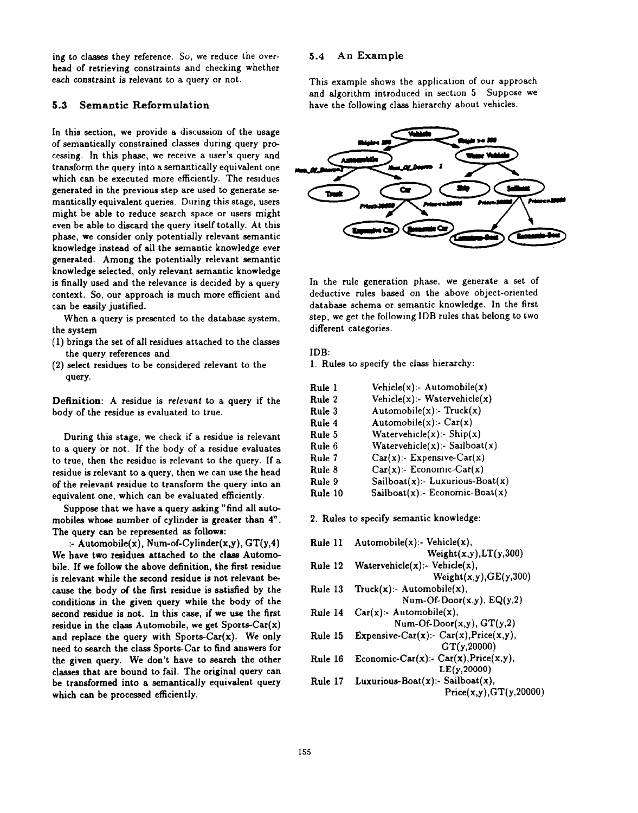ing to classes they reference. So, we reduce the overhead of retrieving constraints and checking whether each constraint is relevant to a query or not.

#### 5.3 Semantic Reformulation

In this section, we provide a discussion of the usage of semantically constrained classes during query processing. In this phase, we receive a user's query and transform the query into a semantically equivalent one which can be executed more efficiently. The residues generated in the previous step are used to generate semantically equivalent queries. During this stage, users might be able to reduce search space or users might even be able to discard the query itself totally. At this phase, we consider only potentially relevant semantic knowledge instead of all the semantic knowledge ever generated. Among the potentially relevant semantic knowledge selected, only relevant semantic knowledge is finally used and the relevance is decided by a query context. So, our approach is much more efficient and can be easily justified.

When a query is presented to the database system, the system

- (1) brings the set of all residues attached to the classes the query references and
- (2) select residues to be considered relevant to the query.

Definition: A residue is relevant to a query if the body of the residue is evaluated to true.

During this stage, we check if a residue is relevant to a query or not. If the body of a residue evaluates to true, then the residue is relevant to the query. If a residue is relevant to a query, then we can use the head of the relevant residue to transform the query into an equivalent one, which can be evaluated efficiently.

Suppose that we have a query asking "find all automobiles whose number of cylinder is greater than  $4$ ". The query can be represented as follows:

:- Automobile $(x)$ , Num-of-Cylinder $(x,y)$ ,  $GT(y,4)$ We have two residues attached to the class Automobile. If we follow the above definition, the first residue is relevant while the second residue is not relevant because the body of the first residue is satisfied by the conditions in the given query while the body of the second residue is not. In this case, if we use the first residue in the class Automobile, we get  $Sports-Car(x)$ and replace the query with Sports-Car $(x)$ . We only need to search the class Sports-Car to find answers for the given query. We don't have to search the other classes that are bound to fail. The original query can be transformed into a semantically equivalent query which can be processed efficiently.

#### 5.4 An Example

This example shows the application of our approach and algorithm introduced in section 5 Suppose we have the following class hierarchy about vehicles.



In the rule generation phase, we generate a set of deductive rules based on the above object-oriented database schema or semantic knowledge. In the first step, we get the following IDB rules that belong to two different categories.

#### IDB:

1. Rules to specify the class hierarchy:

| Rule 1  | Vehicle $(x)$ :- Automobile $(x)$      |
|---------|----------------------------------------|
| Rule 2  | Vehicle $(x)$ :- Watervehicle $(x)$    |
| Rule 3  | Automobile $(x)$ :- Truck $(x)$        |
| Rule 4  | Automobile $(x)$ :- Car $(x)$          |
| Rule 5  | Watervehicle $(x)$ :- Ship $(x)$       |
| Rule 6  | Watervehicle $(x)$ :- Sailboat $(x)$   |
| Rule 7  | $Car(x)$ :- Expensive-Car(x)           |
| Rule 8  | $Car(x)$ :- Economic-Car(x)            |
| Rule 9  | Sailboat $(x)$ :- Luxurious-Boat $(x)$ |
| Rule 10 | Sailboat $(x)$ :- Economic-Boat $(x)$  |
|         |                                        |

2. Rules to specify semantic knowledge:

| Rule 11 | Automobile $(x)$ :- Vehicle $(x)$ ,               |
|---------|---------------------------------------------------|
|         | Weight(x,y), LT(y,300)                            |
| Rule 12 | Watervehicle $(x)$ :- Vehicle $(x)$ ,             |
|         | Weight(x,y), GE(y,300)                            |
| Rule 13 | Truck $(x)$ :- Automobile $(x)$ ,                 |
|         | Num-Of-Door $(x,y)$ , EQ $(y,2)$                  |
| Rule 14 | $Car(x):$ Automobile $(x)$ ,                      |
|         | Num-Of-Door $(x,y)$ , $GT(y,2)$                   |
| Rule 15 | Expensive-Car(x):- $Car(x)$ , $Price(x,y)$ ,      |
|         | GT(y, 20000)                                      |
| Rule 16 | Economic-Car $(x)$ :- Car $(x)$ , Price $(x,y)$ , |
|         | LE(y, 20000)                                      |
| Rule 17 | Luxurious-Boat $(x)$ :- Sailboat $(x)$ ,          |
|         | Price(x,y), GT(y,20000)                           |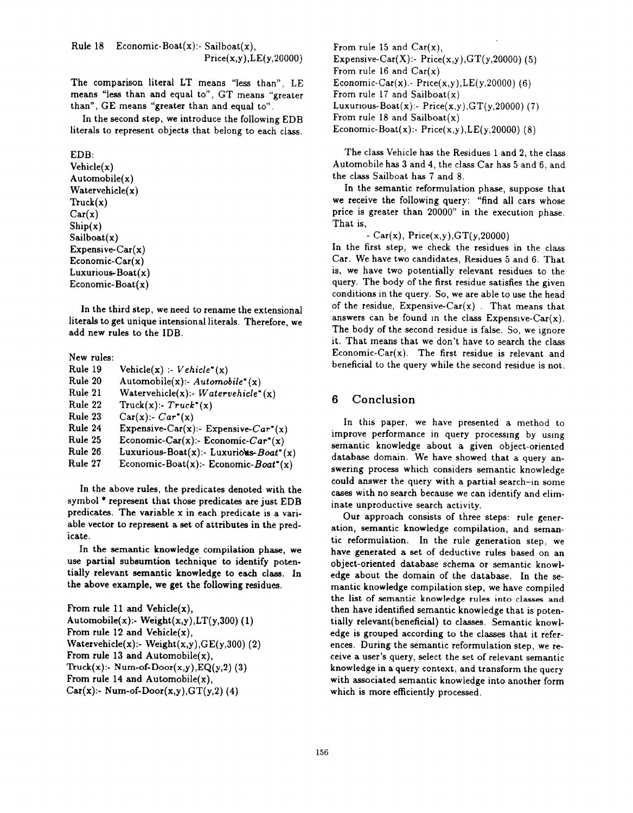Rule 18 Economic-Boat $(x)$ :- Sailboat $(x)$ ,  $Price(x,y),LE(y,20000)$ 

The comparison literal LT means "less than", LE means "less than and equal to", GT means "greater than", GE means "greater than and equal to".

In the second step, we introduce the following EDB literals to represent objects that belong to each class.

## EDB:

Vehicle(x) Automobile(x) Watervehicle(x)  $T\nu c\nk(x)$  $Car(x)$  $\text{Ship}(x)$  $Sailboat(x)$ Expensive-Car $(x)$ Economic-Car $(x)$ Luxurious-Boat(x) Economic-Boat $(x)$ 

In the third step, we need to rename the extensional literals to get unique intensional literals. Therefore, we add new rules to the IDB.

#### New rules: Rule 19 Rule 20 Rule 21 Rule 22 Rule 23 Rule 24 Rule 25 Rule 26 Rule 27  $Vehicle(x) : Vehicle^*(x)$ Automobile $(x)$ :- Automobile\* $(x)$ Watervehicle $(x)$ :- Watervehicle\* $(x)$ Truck $(x)$ :-  $Truck^*(x)$  $Car(x): Car^*(x)$ Expensive-Car(x):- Expensive-Car<sup>\*</sup>(x) Economic-Car $(x)$ :- Economic-Car<sup>\*</sup> $(x)$ Luxurious-Boat $(x)$ :- Luxurious-Boat\*  $(x)$ Economic-Boat(x):- Economic-Boat\*(x)

In the above rules, the predicates denoted with the symbol \* represent that those predicates are just EDB predicates. The variable x in each predicate is a variable vector to represent a set of attributes in the predicate.

In the semantic knowledge compilation phase, we use partial subsumtion technique to identify potentially relevant semantic knowledge to each class. In the above example, we get the following residues.

From rule 11 and Vehicle $(x)$ , Automobile(x):- Weight(x,y),LT(y,300) (1) From rule 12 and Vehicle $(x)$ , Watervehicle $(x)$ :- Weight $(x,y)$ ,  $GE(y,300)$  (2) From rule 13 and Automobile $(x)$ , Truck $(x)$ :- Num-of-Door $(x,y)$ , EQ $(y,2)$  (3) From rule 14 and Automobile $(x)$ , Car(x):- Num-of-Door(x,y),  $GT(y,2)$  (4)

From rule 15 and  $Car(x)$ , Expensive-Car $(X)$ :- Price $(x,y)$ , GT $(y,20000)$  (5) From rule 16 and  $Car(x)$ Economic-Car(x) .- Price(x,y), LE(y,20000) (6) From rule 17 and Sailboat $(x)$ Luxurious-Boat $(x)$ :- Price $(x,y)$ , GT $(y, 20000)$  (7) From rule 18 and Sailboat $(x)$ Economic-Boat $(x)$ :- Price $(x,y)$ , LE $(y,20000)$  (8)

The class Vehicle has the Residues 1 and 2, the class Automobile has 3 and 4, the class Car has 5 and 6, and the class Sailboat has 7 and 8.

In the semantic reformulation phase, suppose that we receive the following query: "find all cars whose price is greater than 20000" in the execution phase. That is,

-  $Car(x)$ ,  $Price(x,y)$ ,  $GT(y,20000)$ 

In the first step, we check the residues in the class Car. We have two candidates, Residues 5 and 6. That is, we have two potentially relevant residues to the query. The body of the first residue satisfies the given conditions in the query. So, we are able to use the head of the residue, Expensive-Car $(x)$ . That means that answers can be found in the class Expensive-Car $(x)$ . The body of the second residue is false. So, we ignore it. That means that we don 't have to search the class Economic-Car $(x)$ . The first residue is relevant and beneficial to the query while the second residue is not.

#### 6 Conclusion

In this paper, we have presented a method to improve performance in query processing by using semantic knowledge about a given object-oriented database domain. We have showed that a query answering process which considers semantic knowledge could answer the query with a partial search-in some cases with no search because we can identify and eliminate unproductive search activity.

Our approach consists of three steps: rule generation, semantic knowledge compilation, and semantic reformulation. In the rule generation step, we have generated a set of deductive rules based on an object-oriented database schema or semantic knowledge about the domain of the database. In the semantic knowledge compilation step, we have compiled the list of semantic knowledge rules into classes and then have identified semantic knowledge that is potentially relevant(beneficial) to classes. Semantic knowledge is grouped according to the classes that it references. During the semantic reformulation step, we receive a user's query, select the set of relevant semantic knowledge in a query context, and transform the query with associated semantic knowledge into another form which is more efficiently processed.